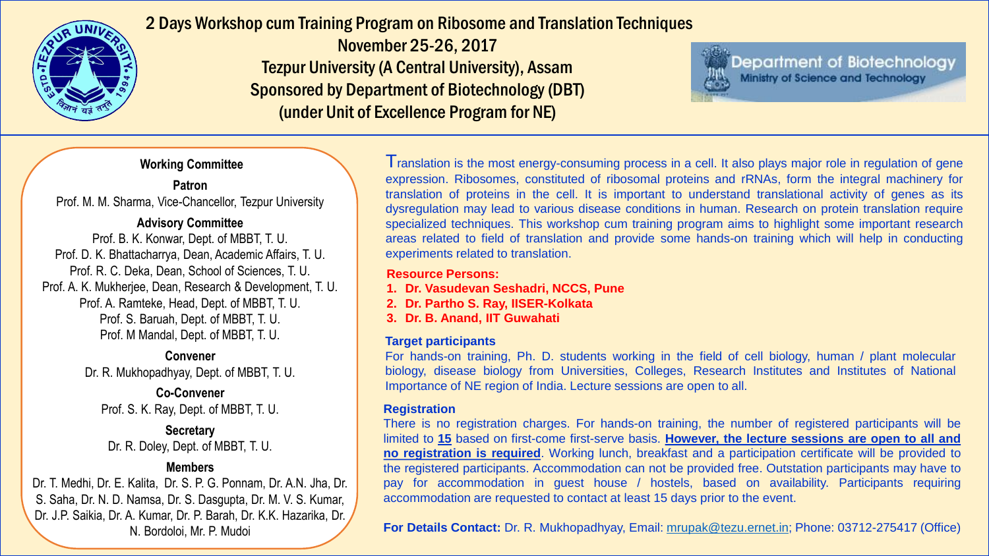

2 Days Workshop cum Training Program on Ribosome and Translation Techniques

November 25-26, 2017 Tezpur University (A Central University), Assam Sponsored by Department of Biotechnology (DBT) (under Unit of Excellence Program for NE)

Department of Biotechnology Ministry of Science and Technology

### **Working Committee**

## **Patron**

Prof. M. M. Sharma, Vice-Chancellor, Tezpur University

#### **Advisory Committee**

Prof. B. K. Konwar, Dept. of MBBT, T. U. Prof. D. K. Bhattacharrya, Dean, Academic Affairs, T. U. Prof. R. C. Deka, Dean, School of Sciences, T. U. Prof. A. K. Mukherjee, Dean, Research & Development, T. U. Prof. A. Ramteke, Head, Dept. of MBBT, T. U. Prof. S. Baruah, Dept. of MBBT, T. U. Prof. M Mandal, Dept. of MBBT, T. U.

#### **Convener**

Dr. R. Mukhopadhyay, Dept. of MBBT, T. U.

**Co-Convener** Prof. S. K. Ray, Dept. of MBBT, T. U.

**Secretary** Dr. R. Doley, Dept. of MBBT, T. U.

# **Members**

Dr. T. Medhi, Dr. E. Kalita, Dr. S. P. G. Ponnam, Dr. A.N. Jha, Dr. S. Saha, Dr. N. D. Namsa, Dr. S. Dasgupta, Dr. M. V. S. Kumar, Dr. J.P. Saikia, Dr. A. Kumar, Dr. P. Barah, Dr. K.K. Hazarika, Dr. N. Bordoloi, Mr. P. Mudoi

I ranslation is the most energy-consuming process in a cell. It also plays major role in regulation of gene expression. Ribosomes, constituted of ribosomal proteins and rRNAs, form the integral machinery for translation of proteins in the cell. It is important to understand translational activity of genes as its dysregulation may lead to various disease conditions in human. Research on protein translation require specialized techniques. This workshop cum training program aims to highlight some important research areas related to field of translation and provide some hands-on training which will help in conducting experiments related to translation.

#### **Resource Persons:**

- **1. Dr. Vasudevan Seshadri, NCCS, Pune**
- **2. Dr. Partho S. Ray, IISER-Kolkata**
- **3. Dr. B. Anand, IIT Guwahati**

## **Target participants**

For hands-on training, Ph. D. students working in the field of cell biology, human / plant molecular biology, disease biology from Universities, Colleges, Research Institutes and Institutes of National Importance of NE region of India. Lecture sessions are open to all.

#### **Registration**

There is no registration charges. For hands-on training, the number of registered participants will be limited to **15** based on first-come first-serve basis. **However, the lecture sessions are open to all and no registration is required**. Working lunch, breakfast and a participation certificate will be provided to the registered participants. Accommodation can not be provided free. Outstation participants may have to pay for accommodation in guest house / hostels, based on availability. Participants requiring accommodation are requested to contact at least 15 days prior to the event.

**For Details Contact:** Dr. R. Mukhopadhyay, Email: [mrupak@tezu.ernet.in;](mailto:mrupak@tezu.ernet.in) Phone: 03712-275417 (Office)